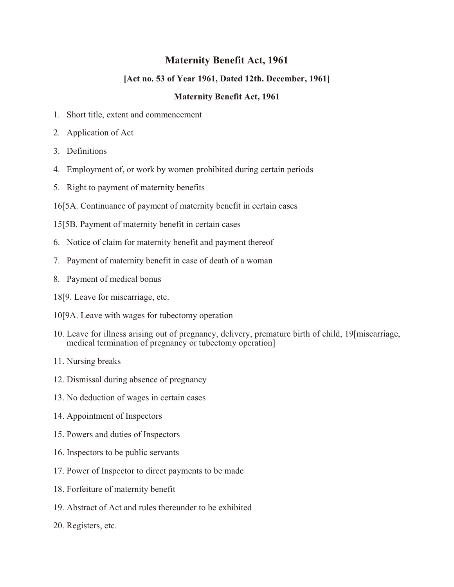# **Maternity Benefit Act, 1961**

# **[Act no. 53 of Year 1961, Dated 12th. December, 1961]**

# **Maternity Benefit Act, 1961**

- 1. Short title, extent and commencement
- 2. Application of Act
- 3. Definitions
- 4. Employment of, or work by women prohibited during certain periods
- 5. Right to payment of maternity benefits
- 16[5A. Continuance of payment of maternity benefit in certain cases
- 15[5B. Payment of maternity benefit in certain cases
- 6. Notice of claim for maternity benefit and payment thereof
- 7. Payment of maternity benefit in case of death of a woman
- 8. Payment of medical bonus
- 18[9. Leave for miscarriage, etc.
- 10[9A. Leave with wages for tubectomy operation
- 10. Leave for illness arising out of pregnancy, delivery, premature birth of child, 19[miscarriage, medical termination of pregnancy or tubectomy operation]
- 11. Nursing breaks
- 12. Dismissal during absence of pregnancy
- 13. No deduction of wages in certain cases
- 14. Appointment of Inspectors
- 15. Powers and duties of Inspectors
- 16. Inspectors to be public servants
- 17. Power of Inspector to direct payments to be made
- 18. Forfeiture of maternity benefit
- 19. Abstract of Act and rules thereunder to be exhibited
- 20. Registers, etc.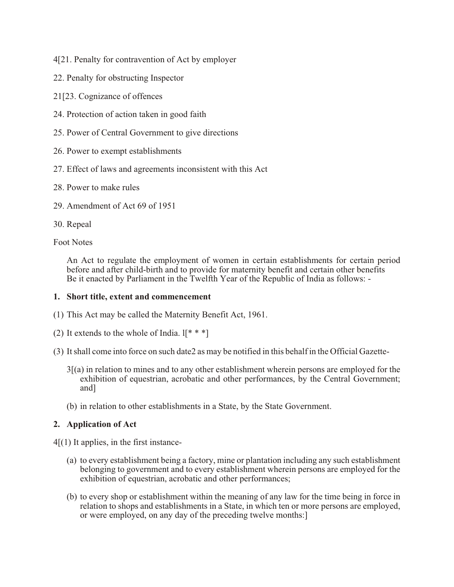- 4[21. Penalty for contravention of Act by employer
- 22. Penalty for obstructing Inspector
- 21[23. Cognizance of offences
- 24. Protection of action taken in good faith
- 25. Power of Central Government to give directions
- 26. Power to exempt establishments
- 27. Effect of laws and agreements inconsistent with this Act
- 28. Power to make rules
- 29. Amendment of Act 69 of 1951
- 30. Repeal

# Foot Notes

An Act to regulate the employment of women in certain establishments for certain period before and after child-birth and to provide for maternity benefit and certain other benefits Be it enacted by Parliament in the Twelfth Year of the Republic of India as follows: -

# **1. Short title, extent and commencement**

- (1) This Act may be called the Maternity Benefit Act, 1961.
- (2) It extends to the whole of India.  $\mathbb{I}^*$  \* \*]
- (3) It shall come into force on such date2 as may be notified in this behalf in the Official Gazette-
	- $3(2)$  in relation to mines and to any other establishment wherein persons are employed for the exhibition of equestrian, acrobatic and other performances, by the Central Government; and]
	- (b) in relation to other establishments in a State, by the State Government.

# **2. Application of Act**

 $4(1)$  It applies, in the first instance-

- (a) to every establishment being a factory, mine or plantation including any such establishment belonging to government and to every establishment wherein persons are employed for the exhibition of equestrian, acrobatic and other performances;
- (b) to every shop or establishment within the meaning of any law for the time being in force in relation to shops and establishments in a State, in which ten or more persons are employed, or were employed, on any day of the preceding twelve months:]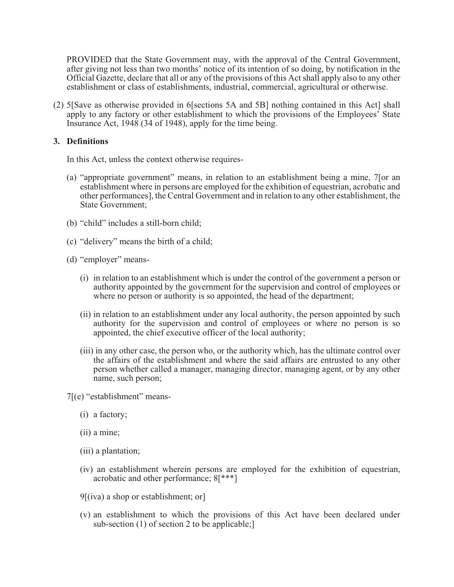PROVIDED that the State Government may, with the approval of the Central Government, after giving not less than two months' notice of its intention of so doing, by notification in the Official Gazette, declare that all or any of the provisions of this Act shall apply also to any other establishment or class of establishments, industrial, commercial, agricultural or otherwise.

(2) 5[Save as otherwise provided in 6[sections 5A and 5B] nothing contained in this Act] shall apply to any factory or other establishment to which the provisions of the Employees' State Insurance Act, 1948 (34 of 1948), apply for the time being.

# **3. Definitions**

In this Act, unless the context otherwise requires-

- (a) "appropriate government" means, in relation to an establishment being a mine, 7[or an establishment where in persons are employed for the exhibition of equestrian, acrobatic and other performances], the Central Government and in relation to any other establishment, the State Government;
- (b) "child" includes a still-born child;
- (c) "delivery" means the birth of a child;
- (d) "employer" means-
	- (i) in relation to an establishment which is under the control of the government a person or authority appointed by the government for the supervision and control of employees or where no person or authority is so appointed, the head of the department;
	- (ii) in relation to an establishment under any local authority, the person appointed by such authority for the supervision and control of employees or where no person is so appointed, the chief executive officer of the local authority;
	- (iii) in any other case, the person who, or the authority which, has the ultimate control over the affairs of the establishment and where the said affairs are entrusted to any other person whether called a manager, managing director, managing agent, or by any other name, such person;

7[(e) "establishment" means-

- (i) a factory;
- (ii) a mine;
- (iii) a plantation;
- (iv) an establishment wherein persons are employed for the exhibition of equestrian, acrobatic and other performance; 8[\*\*\*]
- 9[(iva) a shop or establishment; or]
- (v) an establishment to which the provisions of this Act have been declared under sub-section (1) of section 2 to be applicable;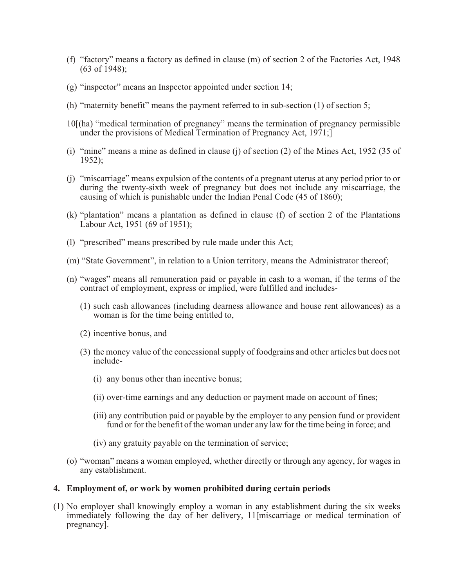- (f) "factory" means a factory as defined in clause (m) of section 2 of the Factories Act, 1948 (63 of 1948);
- (g) "inspector" means an Inspector appointed under section 14;
- (h) "maternity benefit" means the payment referred to in sub-section (1) of section 5;
- 10[(ha) "medical termination of pregnancy" means the termination of pregnancy permissible under the provisions of Medical Termination of Pregnancy Act, 1971;
- (i) "mine" means a mine as defined in clause (j) of section (2) of the Mines Act, 1952 (35 of 1952);
- (j) "miscarriage" means expulsion of the contents of a pregnant uterus at any period prior to or during the twenty-sixth week of pregnancy but does not include any miscarriage, the causing of which is punishable under the Indian Penal Code (45 of 1860);
- (k) "plantation" means a plantation as defined in clause (f) of section 2 of the Plantations Labour Act, 1951 (69 of 1951);
- (l) "prescribed" means prescribed by rule made under this Act;
- (m) "State Government", in relation to a Union territory, means the Administrator thereof;
- (n) "wages" means all remuneration paid or payable in cash to a woman, if the terms of the contract of employment, express or implied, were fulfilled and includes-
	- (1) such cash allowances (including dearness allowance and house rent allowances) as a woman is for the time being entitled to,
	- (2) incentive bonus, and
	- (3) the money value of the concessional supply of foodgrains and other articles but does not include-
		- (i) any bonus other than incentive bonus;
		- (ii) over-time earnings and any deduction or payment made on account of fines;
		- (iii) any contribution paid or payable by the employer to any pension fund or provident fund or for the benefit of the woman under any law for the time being in force; and
		- (iv) any gratuity payable on the termination of service;
- (o) "woman" means a woman employed, whether directly or through any agency, for wages in any establishment.

#### **4. Employment of, or work by women prohibited during certain periods**

(1) No employer shall knowingly employ a woman in any establishment during the six weeks immediately following the day of her delivery, 11[miscarriage or medical termination of pregnancy].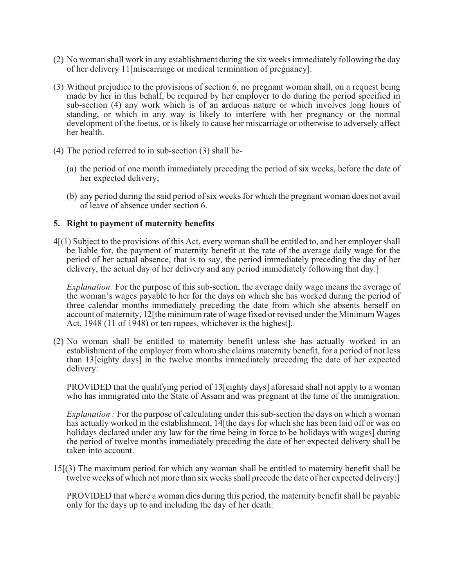- (2) No woman shall work in any establishment during the six weeks immediately following the day of her delivery 11[miscarriage or medical termination of pregnancy].
- (3) Without prejudice to the provisions of section 6, no pregnant woman shall, on a request being made by her in this behalf, be required by her employer to do during the period specified in sub-section (4) any work which is of an arduous nature or which involves long hours of standing, or which in any way is likely to interfere with her pregnancy or the normal development of the foetus, or is likely to cause her miscarriage or otherwise to adversely affect her health.
- (4) The period referred to in sub-section (3) shall be-
	- (a) the period of one month immediately preceding the period of six weeks, before the date of her expected delivery;
	- (b) any period during the said period of six weeks for which the pregnant woman does not avail of leave of absence under section 6.

#### **5. Right to payment of maternity benefits**

4[(1) Subject to the provisions of this Act, every woman shall be entitled to, and her employer shall be liable for, the payment of maternity benefit at the rate of the average daily wage for the period of her actual absence, that is to say, the period immediately preceding the day of her delivery, the actual day of her delivery and any period immediately following that day.

*Explanation:* For the purpose of this sub-section, the average daily wage means the average of the woman's wages payable to her for the days on which she has worked during the period of three calendar months immediately preceding the date from which she absents herself on account of maternity, 12[the minimum rate of wage fixed or revised under the Minimum Wages Act, 1948 (11 of 1948) or ten rupees, whichever is the highest].

(2) No woman shall be entitled to maternity benefit unless she has actually worked in an establishment of the employer from whom she claims maternity benefit, for a period of not less than 13[eighty days] in the twelve months immediately preceding the date of her expected delivery:

PROVIDED that the qualifying period of 13[eighty days] aforesaid shall not apply to a woman who has immigrated into the State of Assam and was pregnant at the time of the immigration.

*Explanation :* For the purpose of calculating under this sub-section the days on which a woman has actually worked in the establishment, 14[the days for which she has been laid off or was on holidays declared under any law for the time being in force to be holidays with wages] during the period of twelve months immediately preceding the date of her expected delivery shall be taken into account.

15[(3) The maximum period for which any woman shall be entitled to maternity benefit shall be twelve weeks of which not more than six weeks shall precede the date of her expected delivery:]

PROVIDED that where a woman dies during this period, the maternity benefit shall be payable only for the days up to and including the day of her death: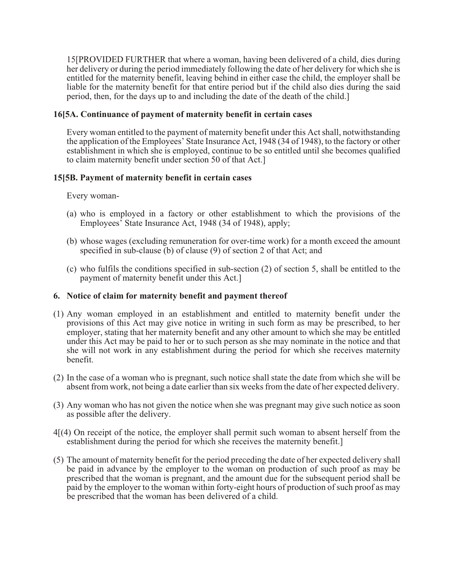15[PROVIDED FURTHER that where a woman, having been delivered of a child, dies during her delivery or during the period immediately following the date of her delivery for which she is entitled for the maternity benefit, leaving behind in either case the child, the employer shall be liable for the maternity benefit for that entire period but if the child also dies during the said period, then, for the days up to and including the date of the death of the child.]

# **16[5A. Continuance of payment of maternity benefit in certain cases**

Every woman entitled to the payment of maternity benefit under this Act shall, notwithstanding the application of the Employees' State Insurance Act, 1948 (34 of 1948), to the factory or other establishment in which she is employed, continue to be so entitled until she becomes qualified to claim maternity benefit under section 50 of that Act.]

# **15[5B. Payment of maternity benefit in certain cases**

#### Every woman-

- (a) who is employed in a factory or other establishment to which the provisions of the Employees' State Insurance Act, 1948 (34 of 1948), apply;
- (b) whose wages (excluding remuneration for over-time work) for a month exceed the amount specified in sub-clause (b) of clause (9) of section 2 of that Act; and
- (c) who fulfils the conditions specified in sub-section (2) of section 5, shall be entitled to the payment of maternity benefit under this Act.]

# **6. Notice of claim for maternity benefit and payment thereof**

- (1) Any woman employed in an establishment and entitled to maternity benefit under the provisions of this Act may give notice in writing in such form as may be prescribed, to her employer, stating that her maternity benefit and any other amount to which she may be entitled under this Act may be paid to her or to such person as she may nominate in the notice and that she will not work in any establishment during the period for which she receives maternity benefit.
- (2) In the case of a woman who is pregnant, such notice shall state the date from which she will be absent from work, not being a date earlier than six weeks from the date of her expected delivery.
- (3) Any woman who has not given the notice when she was pregnant may give such notice as soon as possible after the delivery.
- 4[(4) On receipt of the notice, the employer shall permit such woman to absent herself from the establishment during the period for which she receives the maternity benefit.]
- (5) The amount of maternity benefit for the period preceding the date of her expected delivery shall be paid in advance by the employer to the woman on production of such proof as may be prescribed that the woman is pregnant, and the amount due for the subsequent period shall be paid by the employer to the woman within forty-eight hours of production of such proof as may be prescribed that the woman has been delivered of a child.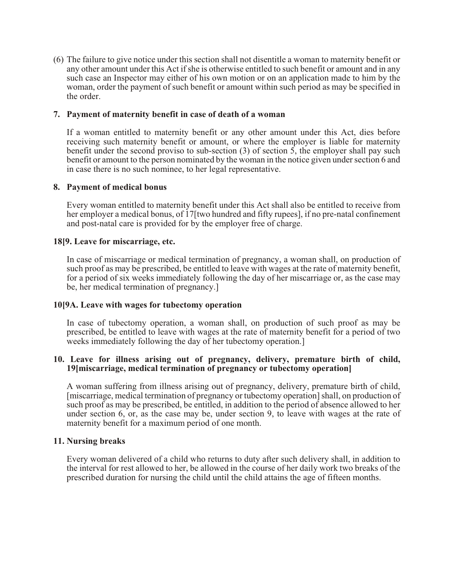(6) The failure to give notice under this section shall not disentitle a woman to maternity benefit or any other amount under this Act if she is otherwise entitled to such benefit or amount and in any such case an Inspector may either of his own motion or on an application made to him by the woman, order the payment of such benefit or amount within such period as may be specified in the order.

### **7. Payment of maternity benefit in case of death of a woman**

If a woman entitled to maternity benefit or any other amount under this Act, dies before receiving such maternity benefit or amount, or where the employer is liable for maternity benefit under the second proviso to sub-section (3) of section 5, the employer shall pay such benefit or amount to the person nominated by the woman in the notice given under section 6 and in case there is no such nominee, to her legal representative.

### **8. Payment of medical bonus**

Every woman entitled to maternity benefit under this Act shall also be entitled to receive from her employer a medical bonus, of 17[two hundred and fifty rupees], if no pre-natal confinement and post-natal care is provided for by the employer free of charge.

### **18[9. Leave for miscarriage, etc.**

In case of miscarriage or medical termination of pregnancy, a woman shall, on production of such proof as may be prescribed, be entitled to leave with wages at the rate of maternity benefit, for a period of six weeks immediately following the day of her miscarriage or, as the case may be, her medical termination of pregnancy.]

# **10[9A. Leave with wages for tubectomy operation**

In case of tubectomy operation, a woman shall, on production of such proof as may be prescribed, be entitled to leave with wages at the rate of maternity benefit for a period of two weeks immediately following the day of her tubectomy operation.]

### **10. Leave for illness arising out of pregnancy, delivery, premature birth of child, 19[miscarriage, medical termination of pregnancy or tubectomy operation]**

A woman suffering from illness arising out of pregnancy, delivery, premature birth of child, [miscarriage, medical termination of pregnancy or tubectomy operation] shall, on production of such proof as may be prescribed, be entitled, in addition to the period of absence allowed to her under section 6, or, as the case may be, under section 9, to leave with wages at the rate of maternity benefit for a maximum period of one month.

# **11. Nursing breaks**

Every woman delivered of a child who returns to duty after such delivery shall, in addition to the interval for rest allowed to her, be allowed in the course of her daily work two breaks of the prescribed duration for nursing the child until the child attains the age of fifteen months.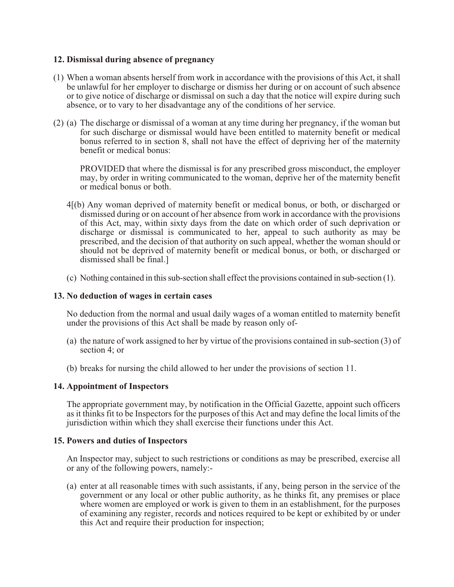# **12. Dismissal during absence of pregnancy**

- (1) When a woman absents herself from work in accordance with the provisions of this Act, it shall be unlawful for her employer to discharge or dismiss her during or on account of such absence or to give notice of discharge or dismissal on such a day that the notice will expire during such absence, or to vary to her disadvantage any of the conditions of her service.
- (2) (a) The discharge or dismissal of a woman at any time during her pregnancy, if the woman but for such discharge or dismissal would have been entitled to maternity benefit or medical bonus referred to in section 8, shall not have the effect of depriving her of the maternity benefit or medical bonus:

PROVIDED that where the dismissal is for any prescribed gross misconduct, the employer may, by order in writing communicated to the woman, deprive her of the maternity benefit or medical bonus or both.

- 4[(b) Any woman deprived of maternity benefit or medical bonus, or both, or discharged or dismissed during or on account of her absence from work in accordance with the provisions of this Act, may, within sixty days from the date on which order of such deprivation or discharge or dismissal is communicated to her, appeal to such authority as may be prescribed, and the decision of that authority on such appeal, whether the woman should or should not be deprived of maternity benefit or medical bonus, or both, or discharged or dismissed shall be final.]
- (c) Nothing contained in this sub-section shall effect the provisions contained in sub-section (1).

### **13. No deduction of wages in certain cases**

No deduction from the normal and usual daily wages of a woman entitled to maternity benefit under the provisions of this Act shall be made by reason only of-

- (a) the nature of work assigned to her by virtue of the provisions contained in sub-section (3) of section 4; or
- (b) breaks for nursing the child allowed to her under the provisions of section 11.

#### **14. Appointment of Inspectors**

The appropriate government may, by notification in the Official Gazette, appoint such officers as it thinks fit to be Inspectors for the purposes of this Act and may define the local limits of the jurisdiction within which they shall exercise their functions under this Act.

#### **15. Powers and duties of Inspectors**

An Inspector may, subject to such restrictions or conditions as may be prescribed, exercise all or any of the following powers, namely:-

(a) enter at all reasonable times with such assistants, if any, being person in the service of the government or any local or other public authority, as he thinks fit, any premises or place where women are employed or work is given to them in an establishment, for the purposes of examining any register, records and notices required to be kept or exhibited by or under this Act and require their production for inspection;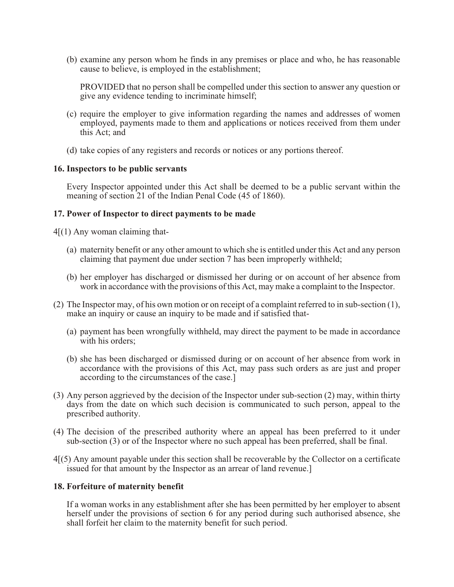(b) examine any person whom he finds in any premises or place and who, he has reasonable cause to believe, is employed in the establishment;

PROVIDED that no person shall be compelled under this section to answer any question or give any evidence tending to incriminate himself;

- (c) require the employer to give information regarding the names and addresses of women employed, payments made to them and applications or notices received from them under this Act; and
- (d) take copies of any registers and records or notices or any portions thereof.

### **16. Inspectors to be public servants**

Every Inspector appointed under this Act shall be deemed to be a public servant within the meaning of section 21 of the Indian Penal Code (45 of 1860).

### **17. Power of Inspector to direct payments to be made**

 $4[(1)$  Any woman claiming that-

- (a) maternity benefit or any other amount to which she is entitled under this Act and any person claiming that payment due under section 7 has been improperly withheld;
- (b) her employer has discharged or dismissed her during or on account of her absence from work in accordance with the provisions of this Act, may make a complaint to the Inspector.
- (2) The Inspector may, of his own motion or on receipt of a complaint referred to in sub-section (1), make an inquiry or cause an inquiry to be made and if satisfied that-
	- (a) payment has been wrongfully withheld, may direct the payment to be made in accordance with his orders:
	- (b) she has been discharged or dismissed during or on account of her absence from work in accordance with the provisions of this Act, may pass such orders as are just and proper according to the circumstances of the case.]
- (3) Any person aggrieved by the decision of the Inspector under sub-section (2) may, within thirty days from the date on which such decision is communicated to such person, appeal to the prescribed authority.
- (4) The decision of the prescribed authority where an appeal has been preferred to it under sub-section (3) or of the Inspector where no such appeal has been preferred, shall be final.
- 4[(5) Any amount payable under this section shall be recoverable by the Collector on a certificate issued for that amount by the Inspector as an arrear of land revenue.]

# **18. Forfeiture of maternity benefit**

If a woman works in any establishment after she has been permitted by her employer to absent herself under the provisions of section 6 for any period during such authorised absence, she shall forfeit her claim to the maternity benefit for such period.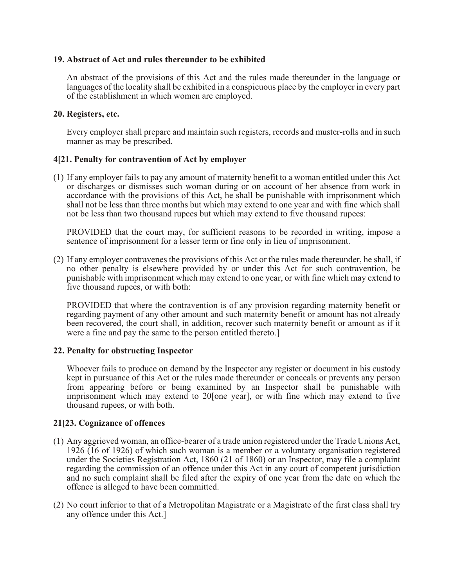### **19. Abstract of Act and rules thereunder to be exhibited**

An abstract of the provisions of this Act and the rules made thereunder in the language or languages of the locality shall be exhibited in a conspicuous place by the employer in every part of the establishment in which women are employed.

### **20. Registers, etc.**

Every employer shall prepare and maintain such registers, records and muster-rolls and in such manner as may be prescribed.

# **4[21. Penalty for contravention of Act by employer**

(1) If any employer fails to pay any amount of maternity benefit to a woman entitled under this Act or discharges or dismisses such woman during or on account of her absence from work in accordance with the provisions of this Act, he shall be punishable with imprisonment which shall not be less than three months but which may extend to one year and with fine which shall not be less than two thousand rupees but which may extend to five thousand rupees:

PROVIDED that the court may, for sufficient reasons to be recorded in writing, impose a sentence of imprisonment for a lesser term or fine only in lieu of imprisonment.

(2) If any employer contravenes the provisions of this Act or the rules made thereunder, he shall, if no other penalty is elsewhere provided by or under this Act for such contravention, be punishable with imprisonment which may extend to one year, or with fine which may extend to five thousand rupees, or with both:

PROVIDED that where the contravention is of any provision regarding maternity benefit or regarding payment of any other amount and such maternity benefit or amount has not already been recovered, the court shall, in addition, recover such maternity benefit or amount as if it were a fine and pay the same to the person entitled thereto.]

# **22. Penalty for obstructing Inspector**

Whoever fails to produce on demand by the Inspector any register or document in his custody kept in pursuance of this Act or the rules made thereunder or conceals or prevents any person from appearing before or being examined by an Inspector shall be punishable with imprisonment which may extend to 20[one year], or with fine which may extend to five thousand rupees, or with both.

# **21[23. Cognizance of offences**

- (1) Any aggrieved woman, an office-bearer of a trade union registered under the Trade Unions Act, 1926 (16 of 1926) of which such woman is a member or a voluntary organisation registered under the Societies Registration Act, 1860 (21 of 1860) or an Inspector, may file a complaint regarding the commission of an offence under this Act in any court of competent jurisdiction and no such complaint shall be filed after the expiry of one year from the date on which the offence is alleged to have been committed.
- (2) No court inferior to that of a Metropolitan Magistrate or a Magistrate of the first class shall try any offence under this Act.]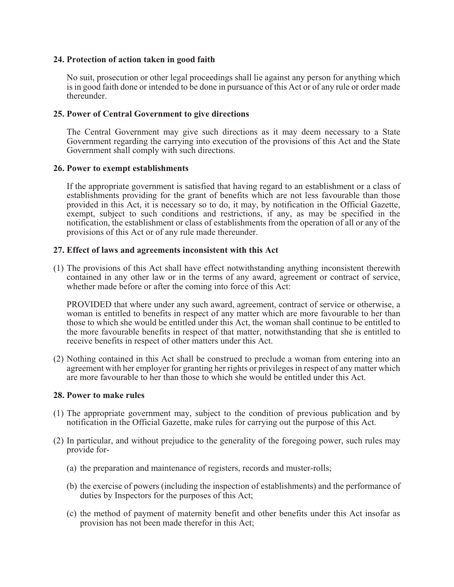# **24. Protection of action taken in good faith**

No suit, prosecution or other legal proceedings shall lie against any person for anything which is in good faith done or intended to be done in pursuance of this Act or of any rule or order made thereunder.

# **25. Power of Central Government to give directions**

The Central Government may give such directions as it may deem necessary to a State Government regarding the carrying into execution of the provisions of this Act and the State Government shall comply with such directions.

### **26. Power to exempt establishments**

If the appropriate government is satisfied that having regard to an establishment or a class of establishments providing for the grant of benefits which are not less favourable than those provided in this Act, it is necessary so to do, it may, by notification in the Official Gazette, exempt, subject to such conditions and restrictions, if any, as may be specified in the notification, the establishment or class of establishments from the operation of all or any of the provisions of this Act or of any rule made thereunder.

### **27. Effect of laws and agreements inconsistent with this Act**

(1) The provisions of this Act shall have effect notwithstanding anything inconsistent therewith contained in any other law or in the terms of any award, agreement or contract of service, whether made before or after the coming into force of this Act:

PROVIDED that where under any such award, agreement, contract of service or otherwise, a woman is entitled to benefits in respect of any matter which are more favourable to her than those to which she would be entitled under this Act, the woman shall continue to be entitled to the more favourable benefits in respect of that matter, notwithstanding that she is entitled to receive benefits in respect of other matters under this Act.

(2) Nothing contained in this Act shall be construed to preclude a woman from entering into an agreement with her employer for granting her rights or privileges in respect of any matter which are more favourable to her than those to which she would be entitled under this Act.

#### **28. Power to make rules**

- (1) The appropriate government may, subject to the condition of previous publication and by notification in the Official Gazette, make rules for carrying out the purpose of this Act.
- (2) In particular, and without prejudice to the generality of the foregoing power, such rules may provide for-
	- (a) the preparation and maintenance of registers, records and muster-rolls;
	- (b) the exercise of powers (including the inspection of establishments) and the performance of duties by Inspectors for the purposes of this Act;
	- (c) the method of payment of maternity benefit and other benefits under this Act insofar as provision has not been made therefor in this Act;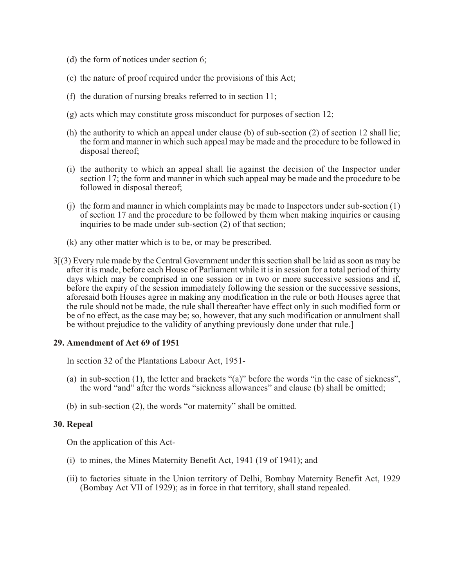- (d) the form of notices under section 6;
- (e) the nature of proof required under the provisions of this Act;
- (f) the duration of nursing breaks referred to in section 11;
- (g) acts which may constitute gross misconduct for purposes of section 12;
- (h) the authority to which an appeal under clause (b) of sub-section (2) of section 12 shall lie; the form and manner in which such appeal may be made and the procedure to be followed in disposal thereof;
- (i) the authority to which an appeal shall lie against the decision of the Inspector under section 17; the form and manner in which such appeal may be made and the procedure to be followed in disposal thereof;
- (j) the form and manner in which complaints may be made to Inspectors under sub-section (1) of section 17 and the procedure to be followed by them when making inquiries or causing inquiries to be made under sub-section (2) of that section;
- (k) any other matter which is to be, or may be prescribed.
- 3[(3) Every rule made by the Central Government under this section shall be laid as soon as may be after it is made, before each House of Parliament while it is in session for a total period of thirty days which may be comprised in one session or in two or more successive sessions and if, before the expiry of the session immediately following the session or the successive sessions, aforesaid both Houses agree in making any modification in the rule or both Houses agree that the rule should not be made, the rule shall thereafter have effect only in such modified form or be of no effect, as the case may be; so, however, that any such modification or annulment shall be without prejudice to the validity of anything previously done under that rule.]

#### **29. Amendment of Act 69 of 1951**

In section 32 of the Plantations Labour Act, 1951-

- (a) in sub-section (1), the letter and brackets "(a)" before the words "in the case of sickness", the word "and" after the words "sickness allowances" and clause (b) shall be omitted;
- (b) in sub-section (2), the words "or maternity" shall be omitted.

#### **30. Repeal**

On the application of this Act-

- (i) to mines, the Mines Maternity Benefit Act, 1941 (19 of 1941); and
- (ii) to factories situate in the Union territory of Delhi, Bombay Maternity Benefit Act, 1929 (Bombay Act VII of 1929); as in force in that territory, shall stand repealed.